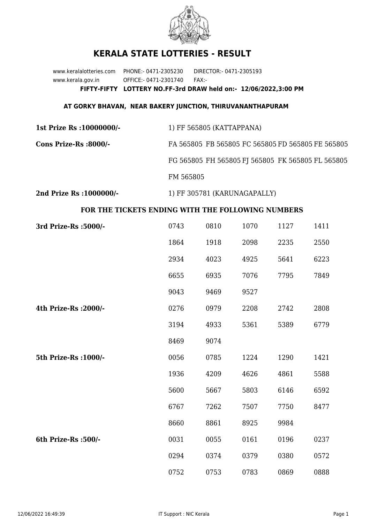

## **KERALA STATE LOTTERIES - RESULT**

www.keralalotteries.com PHONE:- 0471-2305230 DIRECTOR:- 0471-2305193 www.kerala.gov.in OFFICE:- 0471-2301740 FAX:- **FIFTY-FIFTY LOTTERY NO.FF-3rd DRAW held on:- 12/06/2022,3:00 PM**

## **AT GORKY BHAVAN, NEAR BAKERY JUNCTION, THIRUVANANTHAPURAM**

**1st Prize Rs :10000000/-** 1) FF 565805 (KATTAPPANA) **Cons Prize-Rs :8000/-** FA 565805 FB 565805 FC 565805 FD 565805 FE 565805 FG 565805 FH 565805 FJ 565805 FK 565805 FL 565805 FM 565805

**2nd Prize Rs :1000000/-** 1) FF 305781 (KARUNAGAPALLY)

## **FOR THE TICKETS ENDING WITH THE FOLLOWING NUMBERS**

| 3rd Prize-Rs : 5000/- | 0743 | 0810 | 1070 | 1127 | 1411 |
|-----------------------|------|------|------|------|------|
|                       | 1864 | 1918 | 2098 | 2235 | 2550 |
|                       | 2934 | 4023 | 4925 | 5641 | 6223 |
|                       | 6655 | 6935 | 7076 | 7795 | 7849 |
|                       | 9043 | 9469 | 9527 |      |      |
| 4th Prize-Rs : 2000/- | 0276 | 0979 | 2208 | 2742 | 2808 |
|                       | 3194 | 4933 | 5361 | 5389 | 6779 |
|                       | 8469 | 9074 |      |      |      |
| 5th Prize-Rs : 1000/- | 0056 | 0785 | 1224 | 1290 | 1421 |
|                       | 1936 | 4209 | 4626 | 4861 | 5588 |
|                       | 5600 | 5667 | 5803 | 6146 | 6592 |
|                       | 6767 | 7262 | 7507 | 7750 | 8477 |
|                       | 8660 | 8861 | 8925 | 9984 |      |
| 6th Prize-Rs :500/-   | 0031 | 0055 | 0161 | 0196 | 0237 |
|                       | 0294 | 0374 | 0379 | 0380 | 0572 |
|                       | 0752 | 0753 | 0783 | 0869 | 0888 |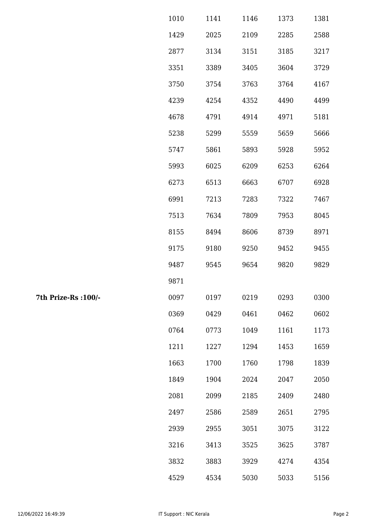| 1010 | 1141 | 1146 | 1373 | 1381 |
|------|------|------|------|------|
| 1429 | 2025 | 2109 | 2285 | 2588 |
| 2877 | 3134 | 3151 | 3185 | 3217 |
| 3351 | 3389 | 3405 | 3604 | 3729 |
| 3750 | 3754 | 3763 | 3764 | 4167 |
| 4239 | 4254 | 4352 | 4490 | 4499 |
| 4678 | 4791 | 4914 | 4971 | 5181 |
| 5238 | 5299 | 5559 | 5659 | 5666 |
| 5747 | 5861 | 5893 | 5928 | 5952 |
| 5993 | 6025 | 6209 | 6253 | 6264 |
| 6273 | 6513 | 6663 | 6707 | 6928 |
| 6991 | 7213 | 7283 | 7322 | 7467 |
| 7513 | 7634 | 7809 | 7953 | 8045 |
| 8155 | 8494 | 8606 | 8739 | 8971 |
| 9175 | 9180 | 9250 | 9452 | 9455 |
| 9487 | 9545 | 9654 | 9820 | 9829 |
| 9871 |      |      |      |      |
| 0097 | 0197 | 0219 | 0293 | 0300 |
| 0369 | 0429 | 0461 | 0462 | 0602 |
| 0764 | 0773 | 1049 | 1161 | 1173 |
| 1211 | 1227 | 1294 | 1453 | 1659 |
| 1663 | 1700 | 1760 | 1798 | 1839 |
| 1849 | 1904 | 2024 | 2047 | 2050 |
| 2081 | 2099 | 2185 | 2409 | 2480 |
| 2497 | 2586 | 2589 | 2651 | 2795 |
| 2939 | 2955 | 3051 | 3075 | 3122 |
| 3216 | 3413 | 3525 | 3625 | 3787 |
| 3832 | 3883 | 3929 | 4274 | 4354 |
| 4529 | 4534 | 5030 | 5033 | 5156 |

7th Prize-Rs : 100/-